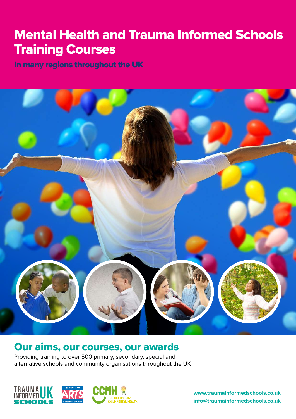# Mental Health and Trauma Informed Schools Training Courses

In many regions throughout the UK



## Our aims, our courses, our awards

Providing training to over 500 primary, secondary, special and alternative schools and community organisations throughout the UK



**www.traumainformedschools.co.uk info@traumainformedschools.co.uk**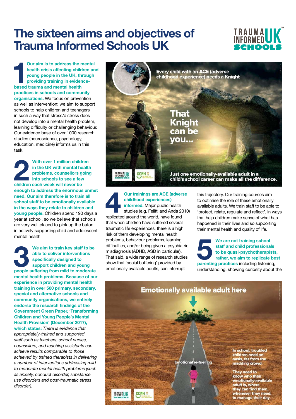# **The sixteen aims and objectives of Trauma Informed Schools UK**



**1 based trauma and mental health Our aim is to address the mental health crisis affecting children and young people in the UK, through providing training in evidencepractices in schools and community organisations.** We focus on prevention as well as intervention: we aim to support schools to help children and teenagers in such a way that stress/distress does not develop into a mental health problem, learning difficulty or challenging behaviour. Our evidence base of over 1000 research studies (neuroscience, psychology, education, medicine) informs us in this task.

**2 2 2 2 With over 1 million children** in the UK with mental health problems, counsellors going into schools to see a few children each week will never be **in the UK with mental health problems, counsellors going into schools to see a few enough to address the enormous unmet need. Our aim therefore is to train all school staff to be emotionally available in the ways they relate to children and young people.** Children spend 190 days a year at school, so we believe that schools are very well placed to pick up the baton in actively supporting child and adolescent mental health.

**3 We aim to train key staff to be able to deliver interventions specifically designed to support children and young people suffering from mild to moderate able to deliver interventions specifically designed to support children and young mental health problems. Because of our experience in providing mental health training in over 500 primary, secondary, special and alternative schools and community organisations, we entirely endorse the research findings of the Government Green Paper, 'Transforming Children and Young People's Mental Health Provision' (December 2017), which states:** *There is evidence that* 

*appropriately-trained and supported staff such as teachers, school nurses, counsellors, and teaching assistants can achieve results comparable to those achieved by trained therapists in delivering a number of interventions addressing mild to moderate mental health problems (such as anxiety, conduct disorder, substance use disorders and post-traumatic stress disorder).*



**4 Dur trainings are ACE (adverse childhood experiences)**<br> **44 Informed.** Major public health studies (e.g. Felitti and Anda 2010)<br>
replicated around the world have found **childhood experiences) informed.** Major public health replicated around the world, have found that when children have suffered several traumatic life experiences, there is a high risk of them developing mental health problems, behaviour problems, learning difficulties, and/or being given a psychiatric misdiagnosis (ADHD, ASD in particular). That said, a wide range of research studies show that 'social buffering' provided by emotionally available adults, can interrupt

this trajectory. Our training courses aim to optimise the role of these emotionally available adults. We train staff to be able to 'protect, relate, regulate and reflect', in ways that help children make sense of what has happened in their lives and so supporting their mental health and quality of life.

**19 We are not training school staff and child professional to be quasi-psychotherapis rather, we aim to replicate parenting practices including listening staff and child professionals to be quasi-psychotherapists, rather, we aim to replicate best parenting practices** including listening, understanding, showing curiosity about the

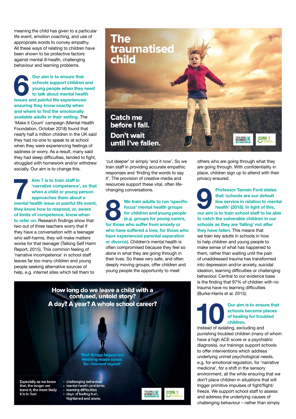meaning the child has given to a particular life event, emotion coaching, and use of appropriate words to convey empathy. All these ways of relating to children have been shown to be protective factors against mental ill-health, challenging behaviour and learning problems.

**6 Our aim is to ensure that schools support children**<br>**16 Young people when they to talk about mental healt**<br>**16 ISSUES and painful life experiences schools support children and young people when they need to talk about mental health issues and painful life experiences: ensuring they know exactly when and where to find the emotionally available adults in their setting.** The 'Make it Count' campaign (Mental Health Foundation, October 2018) found that nearly half a million children in the UK said they had no-one to speak to at school when they were experiencing feelings of sadness or worry. As a result, many said they had sleep difficulties, tended to fight, struggled with homework and/or withdrew socially. Our aim is to change this.

**Aim 7 is to train staff in**<br> **marrative competence', so that**<br> **mental health issue or painful life event,**<br> **mental health issue or painful life event, 'narrative competence', so that when a child or young person approaches them about a they know how to respond, or, aware of limits of competence, know when to refer on.** Research findings show that two out of three teachers worry that if they have a conversation with a teenager who self-harms, they will make matters worse for that teenager (Talking Self Harm Report, 2015). This common feeling of 'narrative incompetence' in school staff leaves far too many children and young people seeking alternative sources of help, e.g. internet sites which tell them to



'cut deeper' or simply 'end it now'. So we train staff in providing accurate empathic responses and 'finding the words to say it'. The provision of creative media and resources support these vital, often lifechanging conversations.

**8 8 We train adults to run 'specific focus' mental health groups for children and young people (e.g. groups for young carers, for those who suffer from anxiety or focus' mental health groups for children and young people (e.g. groups for young carers, for those who suffer from anxiety or who have suffered a loss, for those who have experienced parental separation or divorce).** Children's mental health is often compromised because they feel so alone in what they are going through in their lives. So these very safe, and often deeply moving groups, offer children and young people the opportunity to meet



others who are going through what they are going through. With confidentiality in place, children sign up to attend with their privacy ensured.

**9 Professor Tamsin Ford states**<br>
that 'schools are our default<br>
line service in relation to mental<br>
health' (2018). In light of this,<br>
our aim is to train school staff to be able **that 'schools are our default line service in relation to mental health' (2018). In light of this, to catch the vulnerable children in our schools as they are 'falling' not after they have fallen.** This means that we train key adults in schools in how to help children and young people to make sense of what has happened to them, rather than waiting until the pain of unaddressed trauma has transformed into depression and/or anxiety, suicidal ideation, learning difficulties or challenging behaviour. Central to our evidence base is the finding that 97% of children with no trauma have no learning difficulties (Burke-Harris et al. 2015).

**10 Our aim is to ensure that schools become places of healing for troubled children.**<br>Instead of isolating excluding and **schools become places of healing for troubled children.** 

Instead of isolating, excluding and punishing troubled children (many of whom have a high ACE score or a psychiatric diagnosis), our trainings support schools to offer interventions which address underlying unmet psychological needs, e.g. for emotional regulation, for 'narrative medicine', for a shift in the sensory environment, all the while ensuring that we don't place children in situations that will trigger primitive impulses of fight/flight/ freeze. We support school staff to assess and address the underlying causes of challenging behaviour – rather than simply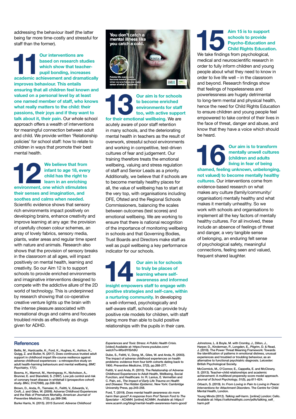addressing the behaviour itself (the latter being far more time-costly and stressful for staff than the former).

**11** Our interventions are based on research studies which show that teacher-<br>
pupil bonding, increases<br>
academic achievement and dramatically **based on research studies which show that teacherpupil bonding, increases improves behaviour. This entails ensuring that all children feel known and valued on a personal level by at least one named member of staff, who knows what really matters to the child: their passions, their joys and if they want to talk about it, their pain.** Our whole school approach offers a wealth of interventions for meaningful connection between adult and child. We provide written 'Relationship policies' for school staff: how to relate to children in ways that promote their best mental health.

**12 12 12 ending that from infant to age 18, every child has the right to learn in an enriching environment, one which stimulates infant to age 18, every child has the right to learn in an enriching their senses and imagination, and soothes and calms when needed.** Scientific evidence shows that sensory rich environments impact positively on developing brains, enhance creativity and improve learning at any age: the provision of carefully chosen colour schemes, an array of lovely fabrics, sensory media, plants, water areas and regular time spent with nature and animals. Research also shows that the provision of sensory breaks in the classroom at all ages, will impact positively on mental health, learning and creativity. So our Aim 12 is to support schools to provide enriched environments and imaginative interventions designed to compete with the addictive allure of the 2D world of technology. This is underpinned by research showing that co-operative creative venture lights up the brain with the intense pleasure associated with recreational drugs and calms and focuses troubled minds as effectively as drugs given for ADHD.



## **13 Dur aim is for schools to become enriched environments for staff too, with active support for their emotional wellbeing. We are to become enriched environments for staff too, with active support**

acutely aware of poor staff retention in many schools, and the deteriorating mental health in teachers as the result of overwork, stressful school environments and working in competitive, test-driven cultures of fear and judgement. Our training therefore treats the emotional wellbeing, valuing and stress regulation of staff and Senior Leads as a priority. Additionally, we believe that if schools are to become mentally healthy places for all, the value of wellbeing has to start at the very top, with organisations including DFE, Ofsted and the Regional Schools Commissioners, balancing the scales between outcomes (test scores) and emotional wellbeing. We are working to ensure that there is national recognition of the importance of monitoring wellbeing in schools and that Governing Bodies, Trust Boards and Directors make staff as well as pupil wellbeing a key performance indicator for our schools.

**144 Duraim is for schools to truly be places of learning where self-awareness and informed insight empowers staff to engage with to truly be places of learning where selfawareness and informed positive strategies and self-care, within a nurturing community.** In developing a well-informed, psychologically and self-aware staff, schools can provide truly positive role models for children, with staff being more than able to build positive relationships with the pupils in their care.

## **15** is to support schools to provide<br>
Psycho-Education and Child Rights Education<br>
We take findings from psychological, **schools to provide Psycho-Education and Child Rights Education.**

medical and neuroscientific research in order to fully inform children and young people about what they need to know in order to live life well – in the classroom and beyond. Research findings show that feelings of hopelessness and powerlessness are hugely detrimental to long-term mental and physical health, hence the need for Child Rights Education to ensure children and young people feel empowered to take control of their lives in the face of threat, danger and abuse, and know that they have a voice which should be heard.

**16 Duraim is to transform mentally unwell cultures (children and adults living in fear of being shamed, feeling unknown, unbelonging, mentally unwell cultures (children and adults living in fear of being not valued) to become mentally healthy** 

**cultures.** Our interventions come from evidence-based research on what makes any culture (family/community/ organisation) mentally healthy and what makes it mentally unhealthy. So we work with schools and organisations to implement all the key factors of mentally healthy cultures. For all involved, these include an absence of feelings of threat and danger, a very tangible sense of belonging, an enduring felt sense of psychological safety, meaningful connections, feeling seen and valued, frequent shared laughter.

#### **References**

Bellis, M., Hardcastle, K., Ford, K., Hughes, K., Ashton, K., Quigg, Z. and Butler, N. (2017). Does continuous trusted adult support in childhood impart life-course resilience against adverse childhood experiences - a retrospective study on adult health-harming behaviours and mental wellbeing. *BMC Psychiatry*, 17(1).

Bosma, H., Marmot, M., Hemingway, H., Nicholson, A., Brunner, E. and Stansfeld, S. (1997). Low job control and risk of coronary heart disease in whitehall ii (prospective cohort) study. *BMJ*, 314(7080), pp.558-558.

Brown, D., Anda, R., Tiemeier, H., Felitti, V., Edwards, V., Croft, J. and Giles, W. (2009). Adverse Childhood Experiences and the Risk of Premature Mortality. *American Journal of Preventive Medicine*, 37(5), pp.389-396.

Burke Harris, N. (2015). *2015 Summit: Adverse Childhood* 

*Experiences and Toxic Stress: A Public Health Crisis.* [video] Available at: https://www.youtube.com/ watch?v=Wbn9YiSrh9U

Dube, S., Felitti, V., Dong, M., Giles, W. and Anda, R. (2003). The impact of adverse childhood experiences on health problems: evidence from four birth cohorts dating back to 1900. *Preventive Medicine*, 37(3), pp.268-277.

Felitti, V. and Anda, R. (2010). The Relationship of Adverse Childhood Experiences to Adult Health, Wellbeing, Social Function, and Healthcare. In: R. Lanius, E. Vermetten and C. Pain, ed., *The Impact of Early Life Trauma on Health and Disease: The Hidden Epidemic*. New York: Cambridge University Press, pp.245-258.

Ford, T. (2019). *Does mental health awareness do more*  harm than good? A response from Prof Tamsin Ford to The *Spectator - ACAMH.* [online] ACAMH. Available at: https:// www.acamh.org/blog/mental-health-awareness-harm-good/

Johnstone, L. & Boyle, M. with Cromby, J., Dillon, J., Harper, D., Kinderman, P., Longden, E., Pilgrim, D. & Read, J. (2018). The Power Threat Meaning Framework: Towards the identification of patterns in emotional distress, unusual experiences and troubled or troubling behaviour, as an alternative to functional psychiatric diagnosis. Leicester: British Psychological Society.

McCormick, M., O'Connor, E., Cappella, E. and McClowry, S. (2013). Teacher–child relationships and academic achievement: A multilevel propensity score model approach. *Journal of School Psychology*, 51(5), pp.611-624.

Orbach, S. (2019). In: *From Loving in Pain to Loving in Peace: Interventions for Attachment Disorders.* The Centre for Child Mental Health, London.

Young Minds (2012). *Talking self-harm.* [online] London: Cello. Available at: https://cellohealthplc.com/pdfs/talking\_self\_ harm.pdf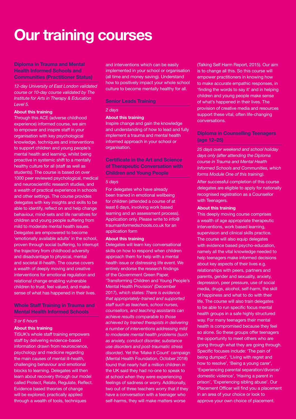# **Our training courses**

**Diploma in Trauma and Mental Health Informed Schools and Communities (Practitioner Status)**

#### *12-day University of East London validated course or 10-day course validated by The Institute for Arts in Therapy & Education Level 5.*

#### **About this training**

Through this ACE (adverse childhood experience) informed course, we aim to empower and inspire staff in your organisation with key psychological knowledge, techniques and interventions to support children and young people's mental health and learning, whilst being proactive in systemic shift to a mentally healthy culture for all (staff as well as students). The course is based on over 1000 peer reviewed psychological, medical and neuroscientific research studies, and a wealth of practical experience in schools and other settings. The course provides delegates with key insights and skills to be able to identify, reflect on and help change behaviour, mind-sets and life narratives for children and young people suffering from mild to moderate mental health issues. Delegates are empowered to become 'emotionally available adults' in the school, proven through social buffering, to interrupt the trajectory from childhood adversity and disadvantage to physical, mental and societal ill-health. The course covers a wealth of deeply moving and creative interventions for emotional regulation and relational change enabling vulnerable children to trust, feel valued, and make sense of what has happened in their lives.

#### **Whole Staff Training in Trauma and Mental Health Informed Schools**

#### *3 or 6 hours*

#### **About this training**

TISUK's whole staff training empowers staff by delivering evidence-based information drawn from neuroscience, psychology and medicine regarding the main causes of mental ill-health, challenging behaviour and emotional blocks to learning. Delegates will then learn about recovery through our model called Protect, Relate, Regulate, Reflect. Evidence based theories of change will be explored, practically applied through a wealth of tools, techniques

and interventions which can be easily implemented in your school or organisation (all time and money saving). Understand how to positively impact your whole school culture to become mentally healthy for all.

#### **Senior Leads Training**

#### *2 days*

#### **About this training**

Inspire change and gain the knowledge and understanding of how to lead and fully implement a trauma and mental health informed approach in your school or organisation.

## **Certificate in the Art and Science of Therapeutic Conversation with Children and Young People**

#### *5 days*

For delegates who have already been trained in emotional wellbeing for children (attended a course of at least 6 days, involving work based learning and an assessment process). Application only. Please write to info@ traumainformedschools.co.uk for an application form

#### **About this training**

Delegates will learn key conversational skills on how to respond when children approach them for help with a mental health issue or distressing life event. We entirely endorse the research findings of the Government Green Paper, 'Transforming Children and Young People's Mental Health Provision' (December 2017), which states: *There is evidence that appropriately-trained and supported staff such as teachers, school nurses, counsellors, and teaching assistants can achieve results comparable to those achieved by trained therapists in delivering a number of interventions addressing mild to moderate mental health problems (such as anxiety, conduct disorder, substance use disorders and post-traumatic stress disorder)*. Yet the 'Make it Count' campaign (Mental Health Foundation, October 2018) found that nearly half a million children in the UK said they had no-one to speak to at school when they were experiencing feelings of sadness or worry. Additionally, two out of three teachers worry that if they have a conversation with a teenager who self-harms, they will make matters worse

(Talking Self Harm Report, 2015). Our aim is to change all this. So this course will empower practitioners in knowing how to make accurate empathic responses, in 'finding the words to say it' and in helping children and young people make sense of what's happened in their lives. The provision of creative media and resources support these vital, often life-changing conversations.

## **Diploma in Counselling Teenagers (age 12–25)**

*25 days over weekend and school holiday days only (after attending the Diploma course in Trauma and Mental Health Informed Schools and Communities, which forms Module One of this training).*

After successful completion of this course delegates are eligible to apply for nationally recognised registration as a Counsellor with Teenagers.

#### **About this training**

This deeply moving course comprises a wealth of age appropriate therapeutic interventions, work based learning, supervision and clinical skills practice. The course will also equip delegates with evidence based psycho-education, namely all the vital knowledge needed to help teenagers make informed decisions about key aspects of their lives e.g. relationships with peers, partners and parents, gender and sexuality, anxiety, depression, peer pressure, use of social media, drugs, alcohol, self-harm, the skill of happiness and what to do with their life. The course will also train delegates to be able to run specific focus mental health groups in a safe highly structured way. For many teenagers their mental health is compromised because they feel so alone. So these groups offer teenagers the opportunity to meet others who are going through what they are going through. Specific focuses include: 'The pain of being dumped', 'Living with regret and how to resolve', 'Being a young carer', 'Experiencing parental separation/divorce/ domestic violence', 'Having a parent in prison', 'Experiencing sibling abuse'. Our Placement Officer will find you a placement in an area of your choice or look to approve your own choice of placement.